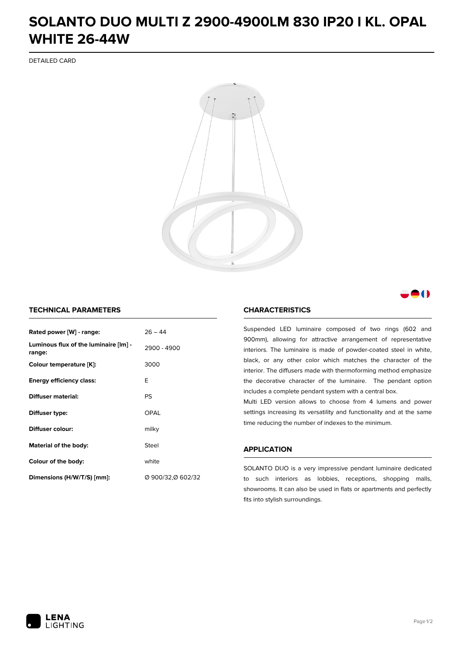## **SOLANTO DUO MULTI Z 2900-4900LM 830 IP20 I KL. OPAL WHITE 26-44W**

DETAILED CARD



### M

### **TECHNICAL PARAMETERS**

| $26 - 44$<br>Rated power [W] - range:           |                   |  |
|-------------------------------------------------|-------------------|--|
| Luminous flux of the luminaire [lm] -<br>range: | 2900 - 4900       |  |
| Colour temperature [K]:                         | 3000              |  |
| <b>Energy efficiency class:</b>                 | E                 |  |
| Diffuser material:                              | PS                |  |
| Diffuser type:                                  | OPAL              |  |
| Diffuser colour:                                | milky             |  |
| Steel<br>Material of the body:                  |                   |  |
| Colour of the body:                             | white             |  |
| Dimensions (H/W/T/S) [mm]:                      | Ø 900/32,Ø 602/32 |  |

#### **CHARACTERISTICS**

Suspended LED luminaire composed of two rings (602 and 900mm), allowing for attractive arrangement of representative interiors. The luminaire is made of powder-coated steel in white, black, or any other color which matches the character of the interior. The diffusers made with thermoforming method emphasize the decorative character of the luminaire. The pendant option includes a complete pendant system with a central box.

Multi LED version allows to choose from 4 lumens and power settings increasing its versatility and functionality and at the same time reducing the number of indexes to the minimum.

#### **APPLICATION**

SOLANTO DUO is a very impressive pendant luminaire dedicated to such interiors as lobbies, receptions, shopping malls, showrooms. It can also be used in flats or apartments and perfectly fits into stylish surroundings.